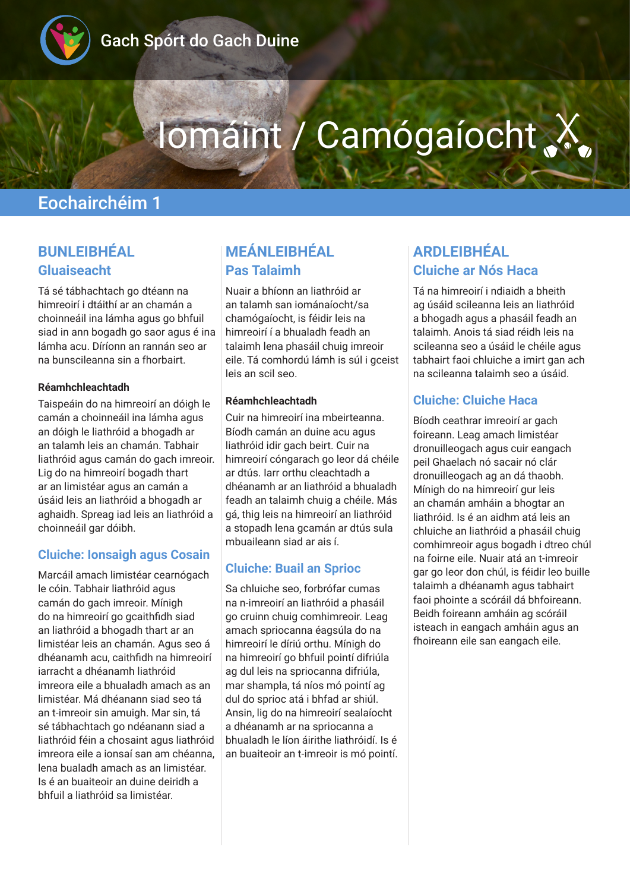

# Iomáint / Camógaíocht

## Eochairchéim 1

## **BUNLEIBHÉAL Gluaiseacht**

Tá sé tábhachtach go dtéann na himreoirí i dtáithí ar an chamán a choinneáil ina lámha agus go bhfuil siad in ann bogadh go saor agus é ina lámha acu. Díríonn an rannán seo ar na bunscileanna sin a fhorbairt.

#### **Réamhchleachtadh**

Taispeáin do na himreoirí an dóigh le camán a choinneáil ina lámha agus an dóigh le liathróid a bhogadh ar an talamh leis an chamán. Tabhair liathróid agus camán do gach imreoir. Lig do na himreoirí bogadh thart ar an limistéar agus an camán a úsáid leis an liathróid a bhogadh ar aghaidh. Spreag iad leis an liathróid a choinneáil gar dóibh.

#### **Cluiche: Ionsaigh agus Cosain**

Marcáil amach limistéar cearnógach le cóin. Tabhair liathróid agus camán do gach imreoir. Mínigh do na himreoirí go gcaithfidh siad an liathróid a bhogadh thart ar an limistéar leis an chamán. Agus seo á dhéanamh acu, caithfidh na himreoirí iarracht a dhéanamh liathróid imreora eile a bhualadh amach as an limistéar. Má dhéanann siad seo tá an t-imreoir sin amuigh. Mar sin, tá sé tábhachtach go ndéanann siad a liathróid féin a chosaint agus liathróid imreora eile a ionsaí san am chéanna, lena bualadh amach as an limistéar. Is é an buaiteoir an duine deiridh a bhfuil a liathróid sa limistéar.

## **MEÁNLEIBHÉAL Pas Talaimh**

Nuair a bhíonn an liathróid ar an talamh san iománaíocht/sa chamógaíocht, is féidir leis na himreoirí í a bhualadh feadh an talaimh lena phasáil chuig imreoir eile. Tá comhordú lámh is súl i gceist leis an scil seo.

#### **Réamhchleachtadh**

Cuir na himreoirí ina mbeirteanna. Bíodh camán an duine acu agus liathróid idir gach beirt. Cuir na himreoirí cóngarach go leor dá chéile ar dtús. Iarr orthu cleachtadh a dhéanamh ar an liathróid a bhualadh feadh an talaimh chuig a chéile. Más gá, thig leis na himreoirí an liathróid a stopadh lena gcamán ar dtús sula mbuaileann siad ar ais í.

#### **Cluiche: Buail an Sprioc**

Sa chluiche seo, forbrófar cumas na n-imreoirí an liathróid a phasáil go cruinn chuig comhimreoir. Leag amach spriocanna éagsúla do na himreoirí le díriú orthu. Mínigh do na himreoirí go bhfuil pointí difriúla ag dul leis na spriocanna difriúla, mar shampla, tá níos mó pointí ag dul do sprioc atá i bhfad ar shiúl. Ansin, lig do na himreoirí sealaíocht a dhéanamh ar na spriocanna a bhualadh le líon áirithe liathróidí. Is é an buaiteoir an t-imreoir is mó pointí.

## **ARDLEIBHÉAL Cluiche ar Nós Haca**

Tá na himreoirí i ndiaidh a bheith ag úsáid scileanna leis an liathróid a bhogadh agus a phasáil feadh an talaimh. Anois tá siad réidh leis na scileanna seo a úsáid le chéile agus tabhairt faoi chluiche a imirt gan ach na scileanna talaimh seo a úsáid.

#### **Cluiche: Cluiche Haca**

Bíodh ceathrar imreoirí ar gach foireann. Leag amach limistéar dronuilleogach agus cuir eangach peil Ghaelach nó sacair nó clár dronuilleogach ag an dá thaobh. Mínigh do na himreoirí gur leis an chamán amháin a bhogtar an liathróid. Is é an aidhm atá leis an chluiche an liathróid a phasáil chuig comhimreoir agus bogadh i dtreo chúl na foirne eile. Nuair atá an t-imreoir gar go leor don chúl, is féidir leo buille talaimh a dhéanamh agus tabhairt faoi phointe a scóráil dá bhfoireann. Beidh foireann amháin ag scóráil isteach in eangach amháin agus an fhoireann eile san eangach eile.